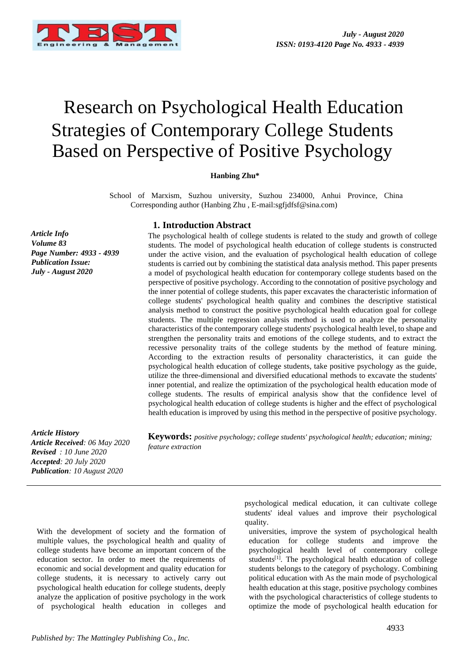

# Research on Psychological Health Education Strategies of Contemporary College Students Based on Perspective of Positive Psychology

#### **Hanbing Zhu\***

School of Marxism, Suzhou university, Suzhou 234000, Anhui Province, China Corresponding author (Hanbing Zhu , E-mail:sgfjdfsf@sina.com)

#### **1. Introduction Abstract**

The psychological health of college students is related to the study and growth of college students. The model of psychological health education of college students is constructed under the active vision, and the evaluation of psychological health education of college students is carried out by combining the statistical data analysis method. This paper presents a model of psychological health education for contemporary college students based on the perspective of positive psychology. According to the connotation of positive psychology and the inner potential of college students, this paper excavates the characteristic information of college students' psychological health quality and combines the descriptive statistical analysis method to construct the positive psychological health education goal for college students. The multiple regression analysis method is used to analyze the personality characteristics of the contemporary college students' psychological health level, to shape and strengthen the personality traits and emotions of the college students, and to extract the recessive personality traits of the college students by the method of feature mining. According to the extraction results of personality characteristics, it can guide the psychological health education of college students, take positive psychology as the guide, utilize the three-dimensional and diversified educational methods to excavate the students' inner potential, and realize the optimization of the psychological health education mode of college students. The results of empirical analysis show that the confidence level of psychological health education of college students is higher and the effect of psychological health education is improved by using this method in the perspective of positive psychology.

*Article History Article Received: 06 May 2020 Revised : 10 June 2020 Accepted: 20 July 2020 Publication: 10 August 2020*

**Keywords:** *positive psychology; college students' psychological health; education; mining; feature extraction* 

With the development of society and the formation of multiple values, the psychological health and quality of college students have become an important concern of the education sector. In order to meet the requirements of economic and social development and quality education for college students, it is necessary to actively carry out psychological health education for college students, deeply analyze the application of positive psychology in the work of psychological health education in colleges and

psychological medical education, it can cultivate college students' ideal values and improve their psychological quality.

universities, improve the system of psychological health education for college students and improve the psychological health level of contemporary college students<sup>[1]</sup>. The psychological health education of college students belongs to the category of psychology. Combining political education with As the main mode of psychological health education at this stage, positive psychology combines with the psychological characteristics of college students to optimize the mode of psychological health education for

*Article Info Volume 83 Page Number: 4933 - 4939 Publication Issue: July - August 2020*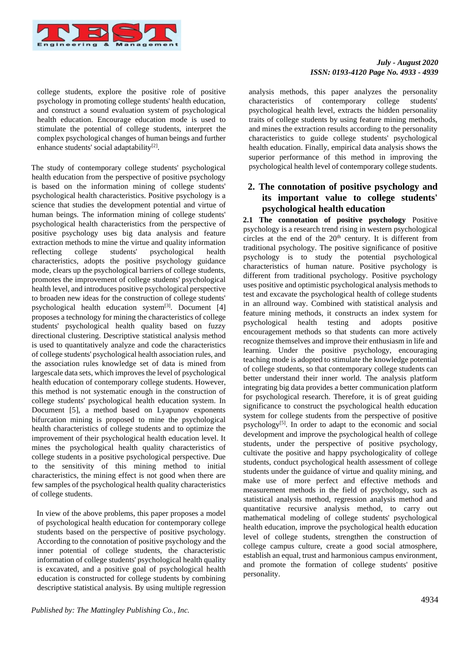

college students, explore the positive role of positive psychology in promoting college students' health education, and construct a sound evaluation system of psychological health education. Encourage education mode is used to stimulate the potential of college students, interpret the complex psychological changes of human beings and further enhance students' social adaptability<sup>[2]</sup>.

The study of contemporary college students' psychological health education from the perspective of positive psychology is based on the information mining of college students' psychological health characteristics. Positive psychology is a science that studies the development potential and virtue of human beings. The information mining of college students' psychological health characteristics from the perspective of positive psychology uses big data analysis and feature extraction methods to mine the virtue and quality information reflecting college students' psychological health characteristics, adopts the positive psychology guidance mode, clears up the psychological barriers of college students, promotes the improvement of college students' psychological health level, and introduces positive psychological perspective to broaden new ideas for the construction of college students' psychological health education system $[3]$ . Document  $[4]$ proposes a technology for mining the characteristics of college students' psychological health quality based on fuzzy directional clustering. Descriptive statistical analysis method is used to quantitatively analyze and code the characteristics of college students' psychological health association rules, and the association rules knowledge set of data is mined from largescale data sets, which improves the level of psychological health education of contemporary college students. However, this method is not systematic enough in the construction of college students' psychological health education system. In Document [5], a method based on Lyapunov exponents bifurcation mining is proposed to mine the psychological health characteristics of college students and to optimize the improvement of their psychological health education level. It mines the psychological health quality characteristics of college students in a positive psychological perspective. Due to the sensitivity of this mining method to initial characteristics, the mining effect is not good when there are few samples of the psychological health quality characteristics of college students.

In view of the above problems, this paper proposes a model of psychological health education for contemporary college students based on the perspective of positive psychology. According to the connotation of positive psychology and the inner potential of college students, the characteristic information of college students' psychological health quality is excavated, and a positive goal of psychological health education is constructed for college students by combining descriptive statistical analysis. By using multiple regression

## *July - August 2020 ISSN: 0193-4120 Page No. 4933 - 4939*

analysis methods, this paper analyzes the personality characteristics of contemporary college students' psychological health level, extracts the hidden personality traits of college students by using feature mining methods, and mines the extraction results according to the personality characteristics to guide college students' psychological health education. Finally, empirical data analysis shows the superior performance of this method in improving the psychological health level of contemporary college students.

# **2. The connotation of positive psychology and its important value to college students' psychological health education**

**2.1 The connotation of positive psychology** Positive psychology is a research trend rising in western psychological circles at the end of the  $20<sup>th</sup>$  century. It is different from traditional psychology. The positive significance of positive psychology is to study the potential psychological characteristics of human nature. Positive psychology is different from traditional psychology. Positive psychology uses positive and optimistic psychological analysis methods to test and excavate the psychological health of college students in an allround way. Combined with statistical analysis and feature mining methods, it constructs an index system for psychological health testing and adopts positive encouragement methods so that students can more actively recognize themselves and improve their enthusiasm in life and learning. Under the positive psychology, encouraging teaching mode is adopted to stimulate the knowledge potential of college students, so that contemporary college students can better understand their inner world. The analysis platform integrating big data provides a better communication platform for psychological research. Therefore, it is of great guiding significance to construct the psychological health education system for college students from the perspective of positive psychology[5]. In order to adapt to the economic and social development and improve the psychological health of college students, under the perspective of positive psychology, cultivate the positive and happy psychologicality of college students, conduct psychological health assessment of college students under the guidance of virtue and quality mining, and make use of more perfect and effective methods and measurement methods in the field of psychology, such as statistical analysis method, regression analysis method and quantitative recursive analysis method, to carry out mathematical modeling of college students' psychological health education, improve the psychological health education level of college students, strengthen the construction of college campus culture, create a good social atmosphere, establish an equal, trust and harmonious campus environment, and promote the formation of college students' positive personality.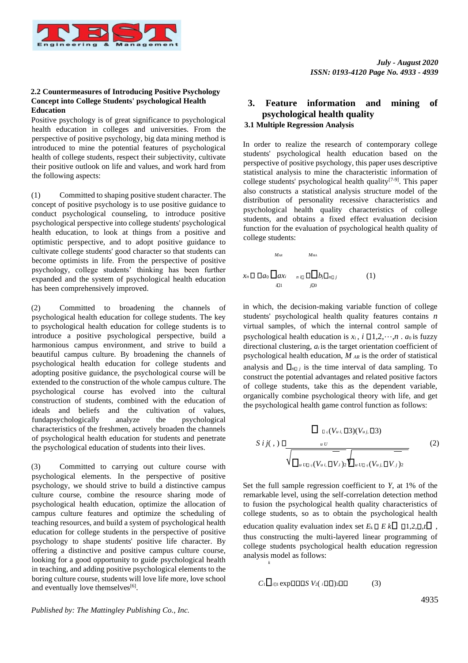

## **2.2 Countermeasures of Introducing Positive Psychology Concept into College Students' psychological Health Education**

Positive psychology is of great significance to psychological health education in colleges and universities. From the perspective of positive psychology, big data mining method is introduced to mine the potential features of psychological health of college students, respect their subjectivity, cultivate their positive outlook on life and values, and work hard from the following aspects:

(1) Committed to shaping positive student character. The concept of positive psychology is to use positive guidance to conduct psychological counseling, to introduce positive psychological perspective into college students' psychological health education, to look at things from a positive and optimistic perspective, and to adopt positive guidance to cultivate college students' good character so that students can become optimists in life. From the perspective of positive psychology, college students' thinking has been further expanded and the system of psychological health education has been comprehensively improved.

(2) Committed to broadening the channels of psychological health education for college students. The key to psychological health education for college students is to introduce a positive psychological perspective, build a harmonious campus environment, and strive to build a beautiful campus culture. By broadening the channels of psychological health education for college students and adopting positive guidance, the psychological course will be extended to the construction of the whole campus culture. The psychological course has evolved into the cultural construction of students, combined with the education of ideals and beliefs and the cultivation of values,<br>fundapsychologically analyze the psychological fundapsychologically analyze the psychological characteristics of the freshmen, actively broaden the channels of psychological health education for students and penetrate the psychological education of students into their lives.

(3) Committed to carrying out culture course with psychological elements. In the perspective of positive psychology, we should strive to build a distinctive campus culture course, combine the resource sharing mode of psychological health education, optimize the allocation of campus culture features and optimize the scheduling of teaching resources, and build a system of psychological health education for college students in the perspective of positive psychology to shape students' positive life character. By offering a distinctive and positive campus culture course, looking for a good opportunity to guide psychological health in teaching, and adding positive psychological elements to the boring culture course, students will love life more, love school and eventually love themselves<sup>[6]</sup>.

# **3. Feature information and mining of psychological health quality 3.1 Multiple Regression Analysis**

In order to realize the research of contemporary college students' psychological health education based on the perspective of positive psychology, this paper uses descriptive statistical analysis to mine the characteristic information of college students' psychological health quality<sup>[7-9]</sup>. This paper also constructs a statistical analysis structure model of the distribution of personality recessive characteristics and psychological health quality characteristics of college students, and obtains a fixed effect evaluation decision function for the evaluation of psychological health quality of college students:

$$
M_{AR} \qquad M_{MA}
$$
\n
$$
x_n \Box \Box a_0 \Box a x_i \qquad n \Box \Box b_j \Box n \Box j \qquad (1)
$$
\n
$$
x_n \Box \Box a_0 \Box a x_i \qquad n \Box \Box b_j \Box n \Box j
$$

in which, the decision-making variable function of college students' psychological health quality features contains *n* virtual samples, of which the internal control sample of psychological health education is  $x_i$ ,  $i \Box 1, 2, \dots, n$ . *a*<sup>0</sup> is fuzzy directional clustering,  $a_i$  is the target orientation coefficient of psychological health education, *M AR* is the order of statistical analysis and  $\prod_{n \downarrow j}$  is the time interval of data sampling. To construct the potential advantages and related positive factors of college students, take this as the dependent variable, organically combine psychological theory with life, and get the psychological health game control function as follows:

$$
\frac{\Box \Box_{\Box y}(V_{u,i},\Box 3)(V_{u,j},\Box 3)}{\sqrt{\Box_{u \cup \Box_{y}(V_{u,i},\Box V,i)2}\Box_{u \cup \Box_{y}(V_{u,j},\Box V,j)2}}}
$$
(2)

Set the full sample regression coefficient to *Y*, at 1% of the remarkable level, using the self-correlation detection method to fusion the psychological health quality characteristics of college students, so as to obtain the psychological health education quality evaluation index set  $E_k \Box E k \Box \Box 1,2,\Box, t \Box$ , thus constructing the multi-layered linear programming of college students psychological health education regression analysis model as follows: *k*

$$
C_1 \Box_{i\Box 1} \exp \Box \Box S \ V_2 (\ _i \Box \Box )_2 \Box \Box \qquad (3)
$$

#### *Published by: The Mattingley Publishing Co., Inc.*

4935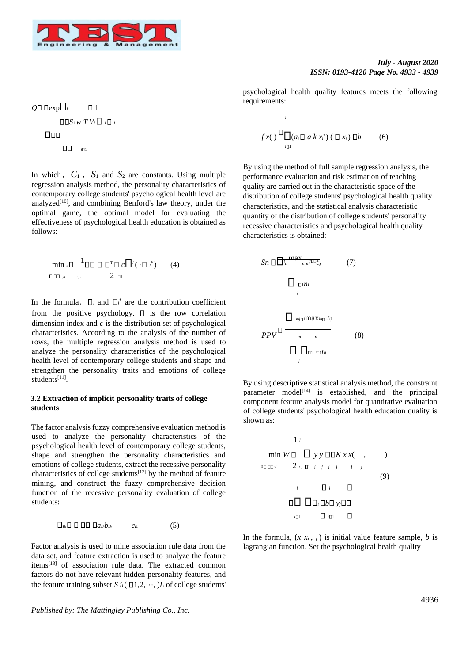

#### *July - August 2020 ISSN: 0193-4120 Page No. 4933 - 4939*

psychological health quality features meets the following requirements:

$$
f x\left(\begin{array}{c}\n\Box \\
\Box (a_i \Box a k x_i^*) \left(\Box x_i\right) \Box b\n\end{array}\right) (6)
$$

*l*

By using the method of full sample regression analysis, the performance evaluation and risk estimation of teaching quality are carried out in the characteristic space of the distribution of college students' psychological health quality characteristics, and the statistical analysis characteristic quantity of the distribution of college students' personality recessive characteristics and psychological health quality characteristics is obtained:

$$
Sn \Box \overline{\Box}_{n}^{\max_{n} \pi^{j} \Box_{t_{ij}}}
$$
(7)  

$$
\Box_{\Box n i i}
$$
  

$$
\Box_{nj \Box \Box x \land n \Box t_{ij}}
$$
  
PPV \Box \overline{\Box}\_{m}^{\max\_{n} \Box t\_{ij}}(8)  

$$
\Box \overline{\Box}_{\Box \Box \Box t_{ij}}
$$

By using descriptive statistical analysis method, the constraint parameter model<sup>[14]</sup> is established, and the principal component feature analysis model for quantitative evaluation of college students' psychological health education quality is shown as:



In the formula,  $(x x_i, j)$  is initial value feature sample, *b* is lagrangian function. Set the psychological health quality

 $Q \Box \text{Dexp} \Box_k$  1  $\Box$  $S_1$ *w*  $T$ *V*<sub>*i*</sub> $\Box$ *i* $\Box$ *i*  $\Box$  $\Box$   $_{i\Box}$ 

In which,  $C_1$ ,  $S_1$  and  $S_2$  are constants. Using multiple regression analysis method, the personality characteristics of contemporary college students' psychological health level are analyzed<sup>[10]</sup>, and combining Benford's law theory, under the optimal game, the optimal model for evaluating the effectiveness of psychological health education is obtained as follows:

$$
\min_{\mathbf{D} \in \mathbb{D} \mathbb{D}, h} \mathbb{D} \mathbb{D} \mathbb{D} \mathbb{D} \mathbb{D} \mathbb{D} \mathbb{D} \mathbb{D} \mathbb{D} \mathbb{D} \left( \mathbb{D} \mathbb{D}^* \right) \qquad (4)
$$

In the formula,  $\Box_l$  and  $\Box_l^*$  are the contribution coefficient from the positive psychology.  $\Box$  is the row correlation dimension index and *c* is the distribution set of psychological characteristics. According to the analysis of the number of rows, the multiple regression analysis method is used to analyze the personality characteristics of the psychological health level of contemporary college students and shape and strengthen the personality traits and emotions of college students<sup>[11]</sup>.

#### **3.2 Extraction of implicit personality traits of college students**

The factor analysis fuzzy comprehensive evaluation method is used to analyze the personality characteristics of the psychological health level of contemporary college students, shape and strengthen the personality characteristics and emotions of college students, extract the recessive personality characteristics of college students[12] by the method of feature mining, and construct the fuzzy comprehensive decision function of the recessive personality evaluation of college students:

$$
\Box_{B_i} \Box \Box \Box \Box \Box a_{B_i} b_{B_i} \qquad c_{B_i} \qquad (5)
$$

Factor analysis is used to mine association rule data from the data set, and feature extraction is used to analyze the feature items[13] of association rule data. The extracted common factors do not have relevant hidden personality features, and the feature training subset *S*  $i_i$  ( $\Box$ 1,2, $\dots$ , )*L* of college students'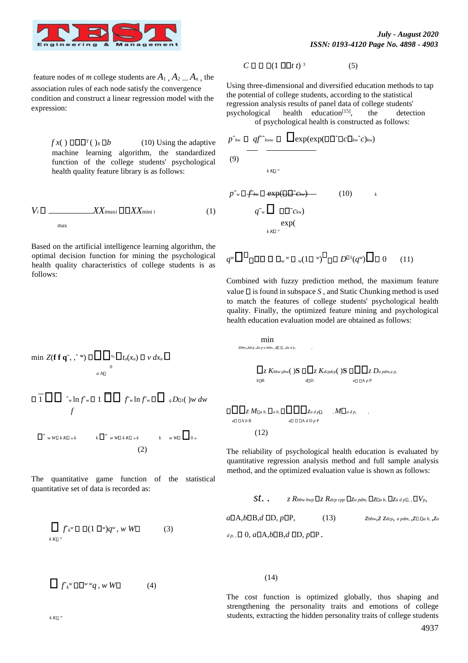

feature nodes of *m* college students are  $A_1$ ,  $A_2$ ,  $A_n$ , the association rules of each node satisfy the convergence condition and construct a linear regression model with the expression:

> $f x() \Box \Box \Box^{T}() x \Box b$  (10) Using the adaptive machine learning algorithm, the standardized function of the college students' psychological health quality feature library is as follows:

$$
V_i \Box \hspace{1cm} \chi X_{i\max} \Box \Box X X_{\min i} \tag{1}
$$

Based on the artificial intelligence learning algorithm, the optimal decision function for mining the psychological health quality characteristics of college students is as follows:

$$
C \mathbin{\Box} \mathbin{\Box} \mathbin{\Box} (1 \mathbin{\Box} \mathbin{\Box} t)^3 \tag{5}
$$

Using three-dimensional and diversified education methods to tap the potential of college students, according to the statistical regression analysis results of panel data of college students' psychological health education<sup>[15]</sup>, , the detection of psychological health is constructed as follows:

$$
p^{\hat{}}_{\text{kw}} \Box \text{ qf}^{\hat{}}_{\text{kww}} \Box \text{ } \Box \text{exp}(\text{exp}(\Box \Box \Box c \Box_{\text{kw}} c)_{\text{kw}})
$$
\n
$$
(9) \qquad \qquad \downarrow \text{KL}^{\psi}
$$

*pw fkw* exp( *ckw*) (10) *<sup>k</sup> qw ckw*) exp( *k K <sup>w</sup>*

 $q^w \Box^w \Box \Box \Box \Box \Box_w w \Box_w (1 \Box^w)^w \Box \Box D^{\Box 1}(q^w) \Box \Box 0$  (11)

Combined with fuzzy prediction method, the maximum feature value  $\Box$  is found in subspace *S*, and Static Chunking method is used to match the features of college students' psychological health quality. Finally, the optimized feature mining and psychological health education evaluation model are obtained as follows:

 $Z$   $K$ *bbw*  $p$ *bw*( $\bigcirc$ **S**  $\Box$  $\Box$  $Z$   $K$ *dcpdcp*( $\bigcirc$ **S**  $\Box$  $\Box$  $Z$   $D$ *a*  $p$ *dm*,*a*  $p$ ,

*b*□B *d*□D *a*□□A *p* P

$$
\min Z(\mathbf{f} \, \mathbf{f} \, \mathbf{q}^*, \, \cdot^{\mathrm{w}}) \, \Box \, \Box \, \Box_{x_a} \Box_{t_a(x_a)} \, \Box \, \nu \, dx_a \, \Box
$$

$$
\Box \Box \Box \quad \hat{w} \ln f \circ \Box \Box \Box f \circ \ln f \circ \Box \Box q D_{\Box}(\nu) \circ dw
$$
  
 $f$ 

$$
\Box^{\wedge} w \boxtimes k \boxtimes w k \qquad k \Box^{\sim} w \boxtimes k \boxtimes w k \qquad k \qquad w \boxtimes \Box_{0 w}
$$
  
(2)

The quantitative game function of the statistical quantitative set of data is recorded as:

$$
\prod_{k \text{ K} \square} f_{k}^{w} \square \square (1 \square^{w}) q^{w}, w \text{ W} \square
$$
 (3)

$$
\prod f_k^w \Box \Box^{w} q \,, w \, W \Box \tag{4}
$$

 $\Box$  $\Box$ *z*  $M\Box$ *a b*,  $\Box$  $\Box$  $\Box$  $\Box$ *z*<sub>*a d p*, ,  $M\Box$ *a d p*,</sub> *a* A *b* B *a* A *d* D *p* P (12)

min *zbbw*,*zdcp* ,*za p a bdm*, ,*z* , ,*za d p*, ,

The reliability of psychological health education is evaluated by quantitative regression analysis method and full sample analysis method, and the optimized evaluation value is shown as follows:

$$
St. \qquad z \; R_{bbw \; bwp} \Box z \; R_{dep \; cpp} \Box z_{a \; pdm,} \Box z_{a \; a \; p} \Box z_{a \; d \; p} \Box, \Box V_p,
$$
\n
$$
a \Box A, b \Box B, d \; \Box D, p \Box P, \qquad (13) \qquad z_{bbw, Z \; Zdep, \; a \; pdm, \; z \Box \; \Box a \; b, \; z \Box a}
$$

 $d_p$ ,  $\Box$  0,  $a\Box$ A, $b\Box$ B, $d$   $\Box$ D,  $p\Box$ P.

(14)

The cost function is optimized globally, thus shaping and strengthening the personality traits and emotions of college students, extracting the hidden personality traits of college students

 $k$   $K\square$ <sup>*w*</sup>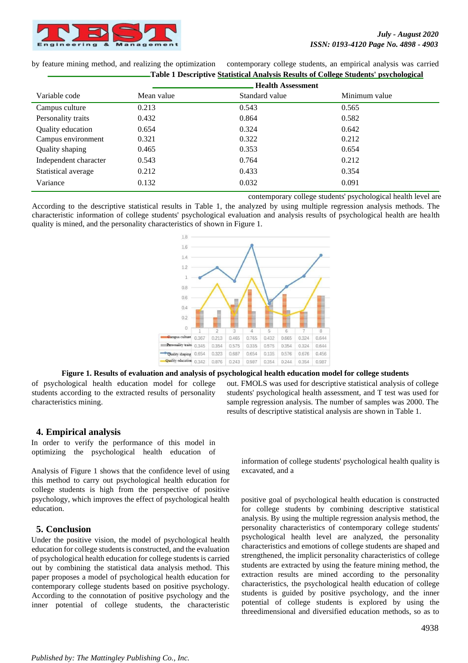

by feature mining method, and realizing the optimization contemporary college students, an empirical analysis was carried **Table 1 Descriptive Statistical Analysis Results of College Students' psychological**

| Variable code         | <b>Health Assessment</b> |                |               |
|-----------------------|--------------------------|----------------|---------------|
|                       | Mean value               | Standard value | Minimum value |
| Campus culture        | 0.213                    | 0.543          | 0.565         |
| Personality traits    | 0.432                    | 0.864          | 0.582         |
| Quality education     | 0.654                    | 0.324          | 0.642         |
| Campus environment    | 0.321                    | 0.322          | 0.212         |
| Quality shaping       | 0.465                    | 0.353          | 0.654         |
| Independent character | 0.543                    | 0.764          | 0.212         |
| Statistical average   | 0.212                    | 0.433          | 0.354         |
| Variance              | 0.132                    | 0.032          | 0.091         |
|                       |                          |                |               |

contemporary college students' psychological health level are

According to the descriptive statistical results in Table 1, the analyzed by using multiple regression analysis methods. The characteristic information of college students' psychological evaluation and analysis results of psychological health are health quality is mined, and the personality characteristics of shown in Figure 1.



#### **Figure 1. Results of evaluation and analysis of psychological health education model for college students**

of psychological health education model for college students according to the extracted results of personality characteristics mining.

out. FMOLS was used for descriptive statistical analysis of college students' psychological health assessment, and T test was used for sample regression analysis. The number of samples was 2000. The results of descriptive statistical analysis are shown in Table 1.

# **4. Empirical analysis**

In order to verify the performance of this model in optimizing the psychological health education of

Analysis of Figure 1 shows that the confidence level of using this method to carry out psychological health education for college students is high from the perspective of positive psychology, which improves the effect of psychological health education.

# **5. Conclusion**

Under the positive vision, the model of psychological health education for college students is constructed, and the evaluation of psychological health education for college students is carried out by combining the statistical data analysis method. This paper proposes a model of psychological health education for contemporary college students based on positive psychology. According to the connotation of positive psychology and the inner potential of college students, the characteristic information of college students' psychological health quality is excavated, and a

positive goal of psychological health education is constructed for college students by combining descriptive statistical analysis. By using the multiple regression analysis method, the personality characteristics of contemporary college students' psychological health level are analyzed, the personality characteristics and emotions of college students are shaped and strengthened, the implicit personality characteristics of college students are extracted by using the feature mining method, the extraction results are mined according to the personality characteristics, the psychological health education of college students is guided by positive psychology, and the inner potential of college students is explored by using the threedimensional and diversified education methods, so as to